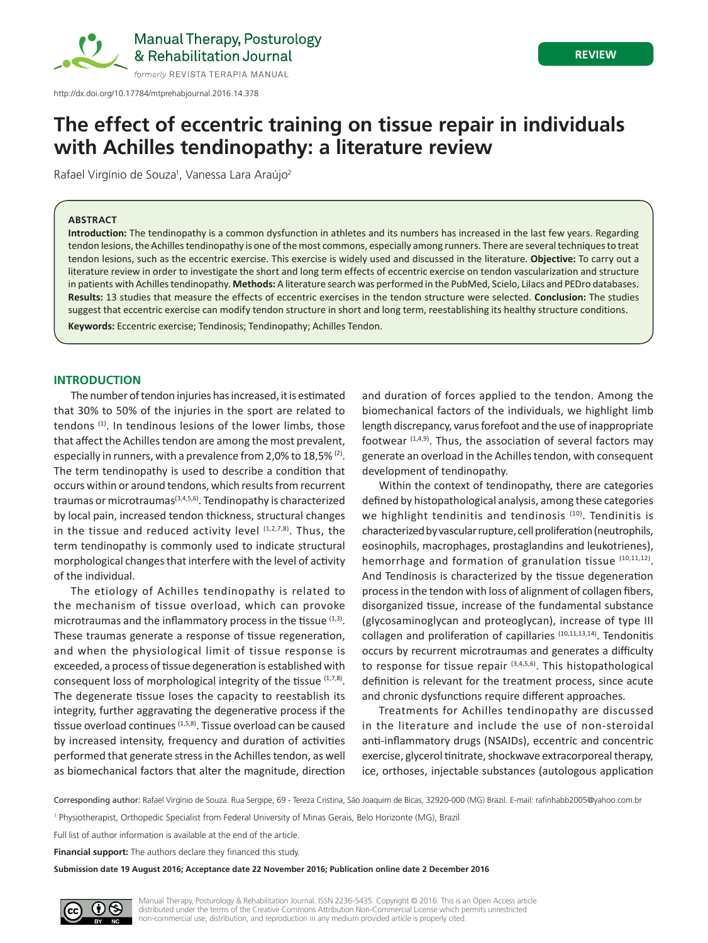

## **REVIEW**

# **The effect of eccentric training on tissue repair in individuals with Achilles tendinopathy: a literature review**

Rafael Virgínio de Souza<sup>1</sup>, Vanessa Lara Araújo<sup>2</sup>

### **ABSTRACT**

**Introduction:** The tendinopathy is a common dysfunction in athletes and its numbers has increased in the last few years. Regarding tendon lesions, the Achilles tendinopathy is one of the most commons, especially among runners. There are several techniques to treat tendon lesions, such as the eccentric exercise. This exercise is widely used and discussed in the literature. **Objective:** To carry out a literature review in order to investigate the short and long term effects of eccentric exercise on tendon vascularization and structure in patients with Achilles tendinopathy. **Methods:** A literature search was performed in the PubMed, Scielo, Lilacs and PEDro databases. **Results:** 13 studies that measure the effects of eccentric exercises in the tendon structure were selected. **Conclusion:** The studies suggest that eccentric exercise can modify tendon structure in short and long term, reestablishing its healthy structure conditions.

**Keywords:** Eccentric exercise; Tendinosis; Tendinopathy; Achilles Tendon.

## **INTRODUCTION**

The number of tendon injuries has increased, it is estimated that 30% to 50% of the injuries in the sport are related to tendons (1). In tendinous lesions of the lower limbs, those that affect the Achilles tendon are among the most prevalent, especially in runners, with a prevalence from 2,0% to 18,5% (2). The term tendinopathy is used to describe a condition that occurs within or around tendons, which results from recurrent traumas or microtraumas(3,4,5,6). Tendinopathy is characterized by local pain, increased tendon thickness, structural changes in the tissue and reduced activity level  $(1,2,7,8)$ . Thus, the term tendinopathy is commonly used to indicate structural morphological changes that interfere with the level of activity of the individual.

The etiology of Achilles tendinopathy is related to the mechanism of tissue overload, which can provoke microtraumas and the inflammatory process in the tissue (1,3). These traumas generate a response of tissue regeneration, and when the physiological limit of tissue response is exceeded, a process of tissue degeneration is established with consequent loss of morphological integrity of the tissue (1,7,8). The degenerate tissue loses the capacity to reestablish its integrity, further aggravating the degenerative process if the tissue overload continues <sup>(1,5,8)</sup>. Tissue overload can be caused by increased intensity, frequency and duration of activities performed that generate stress in the Achilles tendon, as well as biomechanical factors that alter the magnitude, direction

and duration of forces applied to the tendon. Among the biomechanical factors of the individuals, we highlight limb length discrepancy, varus forefoot and the use of inappropriate footwear  $(1,4,9)$ . Thus, the association of several factors may generate an overload in the Achilles tendon, with consequent development of tendinopathy.

Within the context of tendinopathy, there are categories defined by histopathological analysis, among these categories we highlight tendinitis and tendinosis  $(10)$ . Tendinitis is characterized by vascular rupture, cell proliferation (neutrophils, eosinophils, macrophages, prostaglandins and leukotrienes), hemorrhage and formation of granulation tissue (10,11,12). And Tendinosis is characterized by the tissue degeneration process in the tendon with loss of alignment of collagen fibers, disorganized tissue, increase of the fundamental substance (glycosaminoglycan and proteoglycan), increase of type III collagen and proliferation of capillaries (10,11,13,14). Tendonitis occurs by recurrent microtraumas and generates a difficulty to response for tissue repair (3,4,5,6). This histopathological definition is relevant for the treatment process, since acute and chronic dysfunctions require different approaches.

Treatments for Achilles tendinopathy are discussed in the literature and include the use of non-steroidal anti-inflammatory drugs (NSAIDs), eccentric and concentric exercise, glycerol tinitrate, shockwave extracorporeal therapy, ice, orthoses, injectable substances (autologous application

Corresponding author: Rafael Virgínio de Souza. Rua Sergipe, 69 - Tereza Cristina, São Joaquim de Bicas, 32920-000 (MG) Brazil. E-mail: rafinhabb2005@yahoo.com.br

<sup>1</sup> Physiotherapist, Orthopedic Specialist from Federal University of Minas Gerais, Belo Horizonte (MG), Brazil

Full list of author information is available at the end of the article.

**Financial support:** The authors declare they financed this study.

**Submission date 19 August 2016; Acceptance date 22 November 2016; Publication online date 2 December 2016**



Manual Therapy, Posturology & Rehabilitation Journal. ISSN 2236-5435. Copyright © 2016. This is an Open Access article distributed under the terms of the Creative Commons Attribution Non-Commercial License which permits unrestricted non-commercial use, distribution, and reproduction in any medium provided article is properly cited.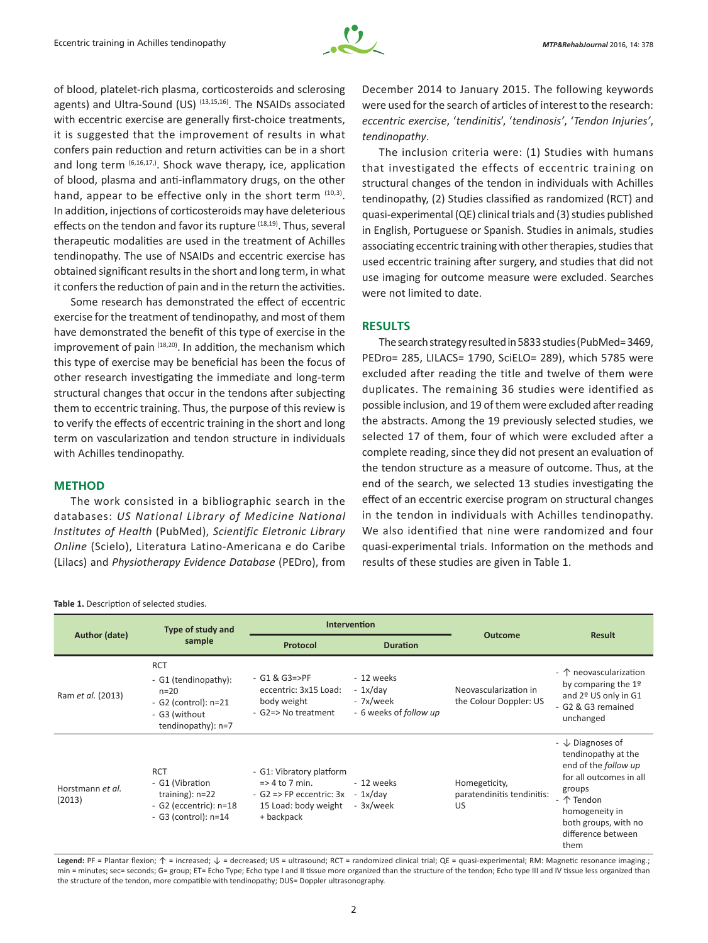

of blood, platelet-rich plasma, corticosteroids and sclerosing agents) and Ultra-Sound (US) <sup>(13,15,16)</sup>. The NSAIDs associated with eccentric exercise are generally first-choice treatments, it is suggested that the improvement of results in what confers pain reduction and return activities can be in a short and long term (6,16,17,). Shock wave therapy, ice, application of blood, plasma and anti-inflammatory drugs, on the other hand, appear to be effective only in the short term  $(10,3)$ . In addition, injections of corticosteroids may have deleterious effects on the tendon and favor its rupture <sup>(18,19)</sup>. Thus, several therapeutic modalities are used in the treatment of Achilles tendinopathy. The use of NSAIDs and eccentric exercise has obtained significant results in the short and long term, in what it confers the reduction of pain and in the return the activities.

Some research has demonstrated the effect of eccentric exercise for the treatment of tendinopathy, and most of them have demonstrated the benefit of this type of exercise in the improvement of pain (18,20). In addition, the mechanism which this type of exercise may be beneficial has been the focus of other research investigating the immediate and long-term structural changes that occur in the tendons after subjecting them to eccentric training. Thus, the purpose of this review is to verify the effects of eccentric training in the short and long term on vascularization and tendon structure in individuals with Achilles tendinopathy.

## **METHOD**

The work consisted in a bibliographic search in the databases: *US National Library of Medicine National Institutes of Health* (PubMed), *Scientific Eletronic Library Online* (Scielo), Literatura Latino-Americana e do Caribe (Lilacs) and *Physiotherapy Evidence Database* (PEDro), from

December 2014 to January 2015. The following keywords were used for the search of articles of interest to the research: *eccentric exercise*, '*tendinitis*', '*tendinosis'*, '*Tendon Injuries'*, *tendinopathy*.

The inclusion criteria were: (1) Studies with humans that investigated the effects of eccentric training on structural changes of the tendon in individuals with Achilles tendinopathy, (2) Studies classified as randomized (RCT) and quasi-experimental (QE) clinical trials and (3) studies published in English, Portuguese or Spanish. Studies in animals, studies associating eccentric training with other therapies, studies that used eccentric training after surgery, and studies that did not use imaging for outcome measure were excluded. Searches were not limited to date.

## **RESULTS**

The search strategy resulted in 5833 studies (PubMed= 3469, PEDro= 285, LILACS= 1790, SciELO= 289), which 5785 were excluded after reading the title and twelve of them were duplicates. The remaining 36 studies were identified as possible inclusion, and 19 of them were excluded after reading the abstracts. Among the 19 previously selected studies, we selected 17 of them, four of which were excluded after a complete reading, since they did not present an evaluation of the tendon structure as a measure of outcome. Thus, at the end of the search, we selected 13 studies investigating the effect of an eccentric exercise program on structural changes in the tendon in individuals with Achilles tendinopathy. We also identified that nine were randomized and four quasi‑experimental trials. Information on the methods and results of these studies are given in Table 1.

| Author (date)              | Type of study and<br>sample                                                                                   | Intervention                                                                                                              |                                                                |                                                   |                                                                                                                                                                                                       |
|----------------------------|---------------------------------------------------------------------------------------------------------------|---------------------------------------------------------------------------------------------------------------------------|----------------------------------------------------------------|---------------------------------------------------|-------------------------------------------------------------------------------------------------------------------------------------------------------------------------------------------------------|
|                            |                                                                                                               | Protocol                                                                                                                  | <b>Duration</b>                                                | <b>Outcome</b>                                    | <b>Result</b>                                                                                                                                                                                         |
| Ram et al. (2013)          | <b>RCT</b><br>- G1 (tendinopathy):<br>$n = 20$<br>- G2 (control): n=21<br>- G3 (without<br>tendinopathy): n=7 | $-$ G1 & G3=>PF<br>eccentric: 3x15 Load:<br>body weight<br>- G2=> No treatment                                            | - 12 weeks<br>$-1x/day$<br>- 7x/week<br>- 6 weeks of follow up | Neovascularization in<br>the Colour Doppler: US   | - 个 neovascularization<br>by comparing the 1º<br>and 2º US only in G1<br>- G2 & G3 remained<br>unchanged                                                                                              |
| Horstmann et al.<br>(2013) | <b>RCT</b><br>- G1 (Vibration<br>training): $n=22$<br>- G2 (eccentric): $n=18$<br>$-$ G3 (control): $n=14$    | - G1: Vibratory platform<br>$\Rightarrow$ 4 to 7 min.<br>$-$ G2 => FP eccentric: 3x<br>15 Load: body weight<br>+ backpack | - 12 weeks<br>$-1x/day$<br>- 3x/week                           | Homegeticity,<br>paratendinitis tendinitis:<br>US | - $\downarrow$ Diagnoses of<br>tendinopathy at the<br>end of the follow up<br>for all outcomes in all<br>groups<br>- 个 Tendon<br>homogeneity in<br>both groups, with no<br>difference between<br>them |

Legend: PF = Plantar flexion; ↑ = increased; ↓ = decreased; US = ultrasound; RCT = randomized clinical trial; QE = quasi-experimental; RM: Magnetic resonance imaging.; min = minutes; sec= seconds; G= group; ET= Echo Type; Echo type I and II tissue more organized than the structure of the tendon; Echo type III and IV tissue less organized than the structure of the tendon, more compatible with tendinopathy; DUS= Doppler ultrasonography.

#### **Table 1.** Description of selected studies.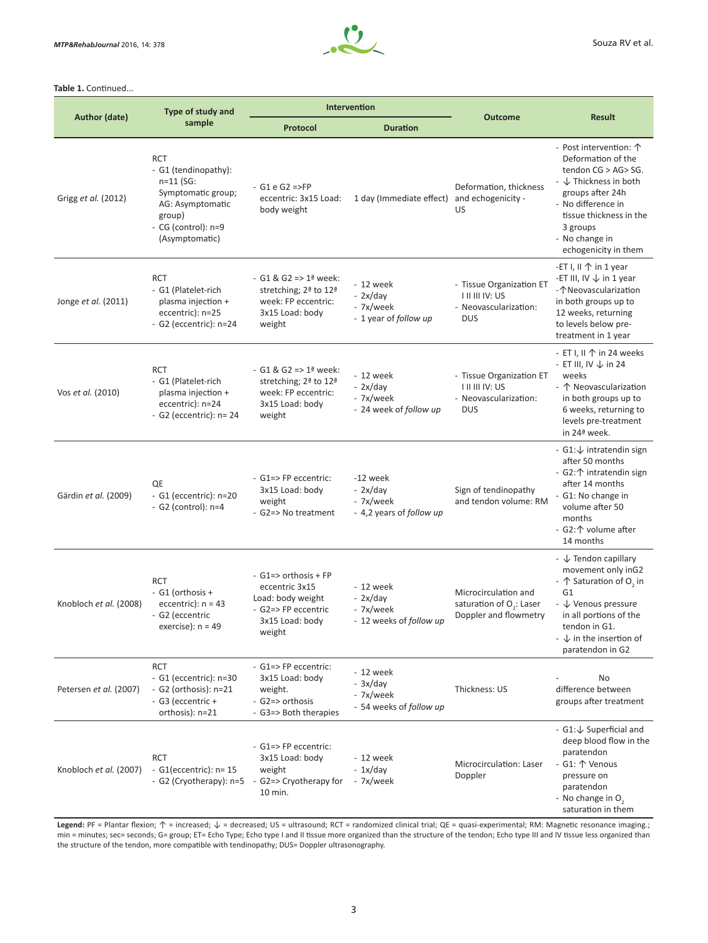

#### **Table 1.** Continued...

| Author (date)          | Type of study and<br>sample                                                                                                                    | Intervention                                                                                                                              |                                                                |                                                                                           |                                                                                                                                                                                                                                    |
|------------------------|------------------------------------------------------------------------------------------------------------------------------------------------|-------------------------------------------------------------------------------------------------------------------------------------------|----------------------------------------------------------------|-------------------------------------------------------------------------------------------|------------------------------------------------------------------------------------------------------------------------------------------------------------------------------------------------------------------------------------|
|                        |                                                                                                                                                | <b>Protocol</b>                                                                                                                           | <b>Duration</b>                                                | <b>Outcome</b>                                                                            | <b>Result</b>                                                                                                                                                                                                                      |
| Grigg et al. (2012)    | <b>RCT</b><br>- G1 (tendinopathy):<br>$n=11$ (SG:<br>Symptomatic group;<br>AG: Asymptomatic<br>group)<br>- CG (control): n=9<br>(Asymptomatic) | $-$ G1 e G2 =>FP<br>eccentric: 3x15 Load:<br>body weight                                                                                  | 1 day (Immediate effect)                                       | Deformation, thickness<br>and echogenicity -<br>US                                        | - Post intervention: 个<br>Deformation of the<br>tendon CG > AG > SG.<br>$ \downarrow$ Thickness in both<br>groups after 24h<br>- No difference in<br>tissue thickness in the<br>3 groups<br>- No change in<br>echogenicity in them |
| Jonge et al. (2011)    | <b>RCT</b><br>- G1 (Platelet-rich<br>plasma injection +<br>eccentric): n=25<br>$-$ G2 (eccentric): $n=24$                                      | - G1 & G2 => $1^{\frac{1}{2}}$ week:<br>stretching; 2 <sup>ª</sup> to 12 <sup>ª</sup><br>week: FP eccentric:<br>3x15 Load: body<br>weight | - 12 week<br>$-2x/day$<br>- 7x/week<br>- 1 year of follow up   | - Tissue Organization ET<br><b>I II III IV: US</b><br>- Neovascularization:<br><b>DUS</b> | -ET I, $\parallel \uparrow \parallel$ in 1 year<br>-ET III, IV $\downarrow$ in 1 year<br>-个Neovascularization<br>in both groups up to<br>12 weeks, returning<br>to levels below pre-<br>treatment in 1 year                        |
| Vos et al. (2010)      | <b>RCT</b><br>- G1 (Platelet-rich<br>plasma injection +<br>eccentric): n=24<br>- G2 (eccentric): $n=24$                                        | - G1 & G2 => $1^{\frac{3}{2}}$ week:<br>stretching; 2ª to 12ª<br>week: FP eccentric:<br>3x15 Load: body<br>weight                         | - 12 week<br>$-2x/day$<br>- 7x/week<br>- 24 week of follow up  | - Tissue Organization ET<br><b>TILIII IV: US</b><br>- Neovascularization:<br><b>DUS</b>   | - ET I, II $\uparrow$ in 24 weeks<br>- ET III, IV $\downarrow$ in 24<br>weeks<br>- 个 Neovascularization<br>in both groups up to<br>6 weeks, returning to<br>levels pre-treatment<br>in 24ª week.                                   |
| Gärdin et al. (2009)   | QE<br>- G1 (eccentric): $n=20$<br>$-$ G2 (control): $n=4$                                                                                      | - G1=>FP eccentric:<br>3x15 Load: body<br>weight<br>- G2=> No treatment                                                                   | -12 week<br>$-2x/day$<br>- 7x/week<br>- 4,2 years of follow up | Sign of tendinopathy<br>and tendon volume: RM                                             | - $G1:\downarrow$ intratendin sign<br>after 50 months<br>- G2:个 intratendin sign<br>after 14 months<br>- G1: No change in<br>volume after 50<br>months<br>- G2:个 volume after<br>14 months                                         |
| Knobloch et al. (2008) | <b>RCT</b><br>- G1 (orthosis +<br>eccentric): $n = 43$<br>- G2 (eccentric<br>exercise): $n = 49$                                               | - G1=> orthosis + FP<br>eccentric 3x15<br>Load: body weight<br>- G2=> FP eccentric<br>3x15 Load: body<br>weight                           | - 12 week<br>$-2x/day$<br>- 7x/week<br>- 12 weeks of follow up | Microcirculation and<br>saturation of $O_2$ : Laser<br>Doppler and flowmetry              | - $\downarrow$ Tendon capillary<br>movement only inG2<br>- 个 Saturation of O, in<br>G <sub>1</sub><br>- ↓ Venous pressure<br>in all portions of the<br>tendon in G1.<br>- $\downarrow$ in the insertion of<br>paratendon in G2     |
| Petersen et al. (2007) | <b>RCT</b><br>- $G1$ (eccentric): $n=30$<br>- G2 (orthosis): $n=21$<br>- G3 (eccentric +<br>orthosis): n=21                                    | - G1=> FP eccentric:<br>3x15 Load: body<br>weight.<br>- G2=> orthosis<br>- G3=> Both therapies                                            | - 12 week<br>$-3x/day$<br>- 7x/week<br>- 54 weeks of follow up | Thickness: US                                                                             | No<br>difference between<br>groups after treatment                                                                                                                                                                                 |
| Knobloch et al. (2007) | <b>RCT</b><br>- $G1$ (eccentric): $n=15$<br>- G2 (Cryotherapy): n=5                                                                            | - G1=>FP eccentric:<br>3x15 Load: body<br>weight<br>G2=> Cryotherapy for<br>10 min.                                                       | $-12$ week<br>$-1x/day$<br>- 7x/week                           | Microcirculation: Laser<br>Doppler                                                        | - G1: ↓ Superficial and<br>deep blood flow in the<br>paratendon<br>- G1: 个 Venous<br>pressure on<br>paratendon<br>- No change in O <sub>2</sub><br>saturation in them                                                              |

Legend: PF = Plantar flexion; ↑ = increased; ↓ = decreased; US = ultrasound; RCT = randomized clinical trial; QE = quasi-experimental; RM: Magnetic resonance imaging.; min = minutes; sec= seconds; G= group; ET= Echo Type; Echo type I and II tissue more organized than the structure of the tendon; Echo type III and IV tissue less organized than the structure of the tendon, more compatible with tendinopathy; DUS= Doppler ultrasonography.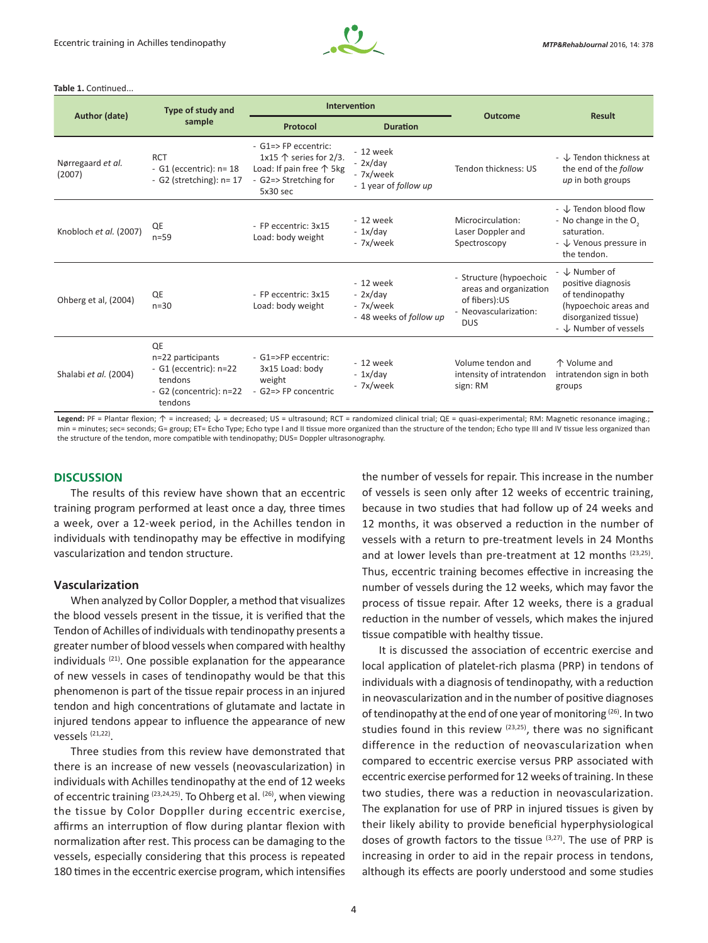

#### **Table 1.** Continued...

| Author (date)               | <b>Type of study and</b><br>sample                                                                              | Intervention                                                                                                                        |                                                                 |                                                                                                           |                                                                                                                                  |
|-----------------------------|-----------------------------------------------------------------------------------------------------------------|-------------------------------------------------------------------------------------------------------------------------------------|-----------------------------------------------------------------|-----------------------------------------------------------------------------------------------------------|----------------------------------------------------------------------------------------------------------------------------------|
|                             |                                                                                                                 | Protocol                                                                                                                            | <b>Duration</b>                                                 | <b>Outcome</b>                                                                                            | <b>Result</b>                                                                                                                    |
| Nørregaard et al.<br>(2007) | <b>RCT</b><br>- G1 (eccentric): $n=18$<br>- G2 (stretching): $n=17$                                             | $-$ G1=> FP eccentric:<br>1x15 $\uparrow$ series for 2/3.<br>Load: If pain free $\uparrow$ 5kg<br>- G2=> Stretching for<br>5x30 sec | - 12 week<br>$-2x/day$<br>- 7x/week<br>- 1 year of follow up    | Tendon thickness: US                                                                                      | $ \downarrow$ Tendon thickness at<br>the end of the follow<br>up in both groups                                                  |
| Knobloch et al. (2007)      | QE<br>$n=59$                                                                                                    | - FP eccentric: 3x15<br>Load: body weight                                                                                           | $-12$ week<br>$-1x/day$<br>- 7x/week                            | Microcirculation:<br>Laser Doppler and<br>Spectroscopy                                                    | - ↓ Tendon blood flow<br>- No change in the O <sub>2</sub><br>saturation.<br>- ↓ Venous pressure in<br>the tendon.               |
| Ohberg et al, (2004)        | QE<br>$n = 30$                                                                                                  | - FP eccentric: 3x15<br>Load: body weight                                                                                           | $-12$ week<br>$-2x/day$<br>- 7x/week<br>- 48 weeks of follow up | - Structure (hypoechoic<br>areas and organization<br>of fibers):US<br>- Neovascularization:<br><b>DUS</b> | - ↓ Number of<br>positive diagnosis<br>of tendinopathy<br>(hypoechoic areas and<br>disorganized tissue)<br>- ↓ Number of vessels |
| Shalabi et al. (2004)       | <b>QE</b><br>n=22 participants<br>- $G1$ (eccentric): $n=22$<br>tendons<br>- G2 (concentric): $n=22$<br>tendons | - G1=>FP eccentric:<br>3x15 Load: body<br>weight<br>- G2=> FP concentric                                                            | $-12$ week<br>$-1x/day$<br>- 7x/week                            | Volume tendon and<br>intensity of intratendon<br>sign: RM                                                 | 个 Volume and<br>intratendon sign in both<br>groups                                                                               |

Legend: PF = Plantar flexion; ↑ = increased; ↓ = decreased; US = ultrasound; RCT = randomized clinical trial; QE = quasi-experimental; RM: Magnetic resonance imaging.; min = minutes; sec= seconds; G= group; ET= Echo Type; Echo type I and II tissue more organized than the structure of the tendon; Echo type III and IV tissue less organized than the structure of the tendon, more compatible with tendinopathy; DUS= Doppler ultrasonography.

#### **DISCUSSION**

The results of this review have shown that an eccentric training program performed at least once a day, three times a week, over a 12-week period, in the Achilles tendon in individuals with tendinopathy may be effective in modifying vascularization and tendon structure.

#### **Vascularization**

When analyzed by Collor Doppler, a method that visualizes the blood vessels present in the tissue, it is verified that the Tendon of Achilles of individuals with tendinopathy presents a greater number of blood vessels when compared with healthy individuals  $(21)$ . One possible explanation for the appearance of new vessels in cases of tendinopathy would be that this phenomenon is part of the tissue repair process in an injured tendon and high concentrations of glutamate and lactate in injured tendons appear to influence the appearance of new vessels  $(21,22)$ .

Three studies from this review have demonstrated that there is an increase of new vessels (neovascularization) in individuals with Achilles tendinopathy at the end of 12 weeks of eccentric training <sup>(23,24,25)</sup>. To Ohberg et al. <sup>(26)</sup>, when viewing the tissue by Color Doppller during eccentric exercise, affirms an interruption of flow during plantar flexion with normalization after rest. This process can be damaging to the vessels, especially considering that this process is repeated 180 times in the eccentric exercise program, which intensifies the number of vessels for repair. This increase in the number of vessels is seen only after 12 weeks of eccentric training, because in two studies that had follow up of 24 weeks and 12 months, it was observed a reduction in the number of vessels with a return to pre-treatment levels in 24 Months and at lower levels than pre-treatment at 12 months (23,25). Thus, eccentric training becomes effective in increasing the number of vessels during the 12 weeks, which may favor the process of tissue repair. After 12 weeks, there is a gradual reduction in the number of vessels, which makes the injured tissue compatible with healthy tissue.

It is discussed the association of eccentric exercise and local application of platelet-rich plasma (PRP) in tendons of individuals with a diagnosis of tendinopathy, with a reduction in neovascularization and in the number of positive diagnoses of tendinopathy at the end of one year of monitoring (26). In two studies found in this review <sup>(23,25)</sup>, there was no significant difference in the reduction of neovascularization when compared to eccentric exercise versus PRP associated with eccentric exercise performed for 12 weeks of training. In these two studies, there was a reduction in neovascularization. The explanation for use of PRP in injured tissues is given by their likely ability to provide beneficial hyperphysiological doses of growth factors to the tissue (3,27). The use of PRP is increasing in order to aid in the repair process in tendons, although its effects are poorly understood and some studies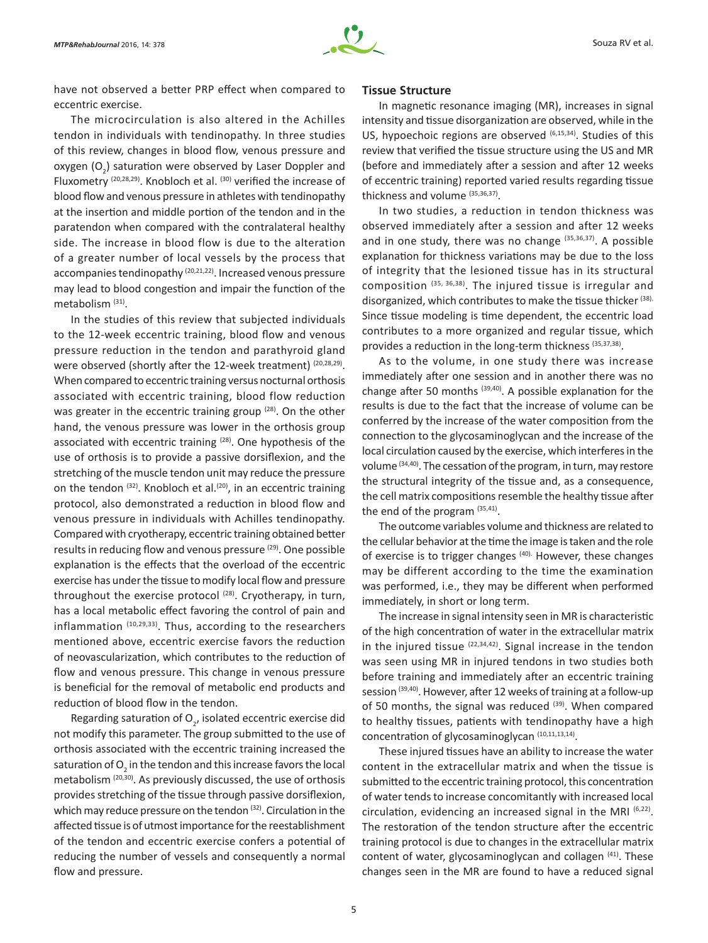

have not observed a better PRP effect when compared to eccentric exercise.

The microcirculation is also altered in the Achilles tendon in individuals with tendinopathy. In three studies of this review, changes in blood flow, venous pressure and oxygen  $(O_2)$  saturation were observed by Laser Doppler and Fluxometry (20,28,29). Knobloch et al. (30) verified the increase of blood flow and venous pressure in athletes with tendinopathy at the insertion and middle portion of the tendon and in the paratendon when compared with the contralateral healthy side. The increase in blood flow is due to the alteration of a greater number of local vessels by the process that accompanies tendinopathy <sup>(20,21,22)</sup>. Increased venous pressure may lead to blood congestion and impair the function of the metabolism (31).

In the studies of this review that subjected individuals to the 12-week eccentric training, blood flow and venous pressure reduction in the tendon and parathyroid gland were observed (shortly after the 12-week treatment) (20,28,29). When compared to eccentric training versus nocturnal orthosis associated with eccentric training, blood flow reduction was greater in the eccentric training group  $(28)$ . On the other hand, the venous pressure was lower in the orthosis group associated with eccentric training <sup>(28)</sup>. One hypothesis of the use of orthosis is to provide a passive dorsiflexion, and the stretching of the muscle tendon unit may reduce the pressure on the tendon  $(32)$ . Knobloch et al. $(20)$ , in an eccentric training protocol, also demonstrated a reduction in blood flow and venous pressure in individuals with Achilles tendinopathy. Compared with cryotherapy, eccentric training obtained better results in reducing flow and venous pressure (29). One possible explanation is the effects that the overload of the eccentric exercise has under the tissue to modify local flow and pressure throughout the exercise protocol<sup>(28)</sup>. Cryotherapy, in turn, has a local metabolic effect favoring the control of pain and inflammation (10,29,33). Thus, according to the researchers mentioned above, eccentric exercise favors the reduction of neovascularization, which contributes to the reduction of flow and venous pressure. This change in venous pressure is beneficial for the removal of metabolic end products and reduction of blood flow in the tendon.

Regarding saturation of  $O_{2'}$  isolated eccentric exercise did not modify this parameter. The group submitted to the use of orthosis associated with the eccentric training increased the saturation of  $\mathsf{O}_2^{}$  in the tendon and this increase favors the local metabolism (20,30). As previously discussed, the use of orthosis provides stretching of the tissue through passive dorsiflexion, which may reduce pressure on the tendon (32). Circulation in the affected tissue is of utmost importance for the reestablishment of the tendon and eccentric exercise confers a potential of reducing the number of vessels and consequently a normal flow and pressure.

#### **Tissue Structure**

In magnetic resonance imaging (MR), increases in signal intensity and tissue disorganization are observed, while in the US, hypoechoic regions are observed (6,15,34). Studies of this review that verified the tissue structure using the US and MR (before and immediately after a session and after 12 weeks of eccentric training) reported varied results regarding tissue thickness and volume (35,36,37).

In two studies, a reduction in tendon thickness was observed immediately after a session and after 12 weeks and in one study, there was no change (35,36,37). A possible explanation for thickness variations may be due to the loss of integrity that the lesioned tissue has in its structural composition (35, 36,38). The injured tissue is irregular and disorganized, which contributes to make the tissue thicker (38). Since tissue modeling is time dependent, the eccentric load contributes to a more organized and regular tissue, which provides a reduction in the long-term thickness (35,37,38).

As to the volume, in one study there was increase immediately after one session and in another there was no change after 50 months (39,40). A possible explanation for the results is due to the fact that the increase of volume can be conferred by the increase of the water composition from the connection to the glycosaminoglycan and the increase of the local circulation caused by the exercise, which interferes in the volume (34,40). The cessation of the program, in turn, may restore the structural integrity of the tissue and, as a consequence, the cell matrix compositions resemble the healthy tissue after the end of the program (35,41).

The outcome variables volume and thickness are related to the cellular behavior at the time the image is taken and the role of exercise is to trigger changes (40). However, these changes may be different according to the time the examination was performed, i.e., they may be different when performed immediately, in short or long term.

The increase in signal intensity seen in MR is characteristic of the high concentration of water in the extracellular matrix in the injured tissue  $(22,34,42)$ . Signal increase in the tendon was seen using MR in injured tendons in two studies both before training and immediately after an eccentric training session (39,40). However, after 12 weeks of training at a follow-up of 50 months, the signal was reduced (39). When compared to healthy tissues, patients with tendinopathy have a high concentration of glycosaminoglycan (10,11,13,14).

These injured tissues have an ability to increase the water content in the extracellular matrix and when the tissue is submitted to the eccentric training protocol, this concentration of water tends to increase concomitantly with increased local circulation, evidencing an increased signal in the MRI (6,22). The restoration of the tendon structure after the eccentric training protocol is due to changes in the extracellular matrix content of water, glycosaminoglycan and collagen (41). These changes seen in the MR are found to have a reduced signal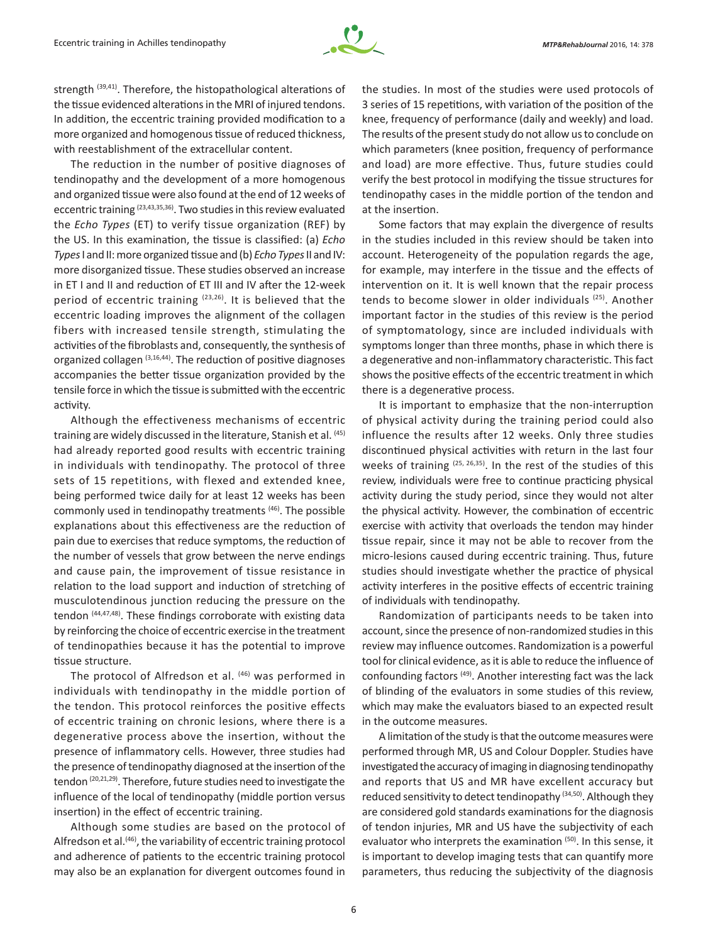

strength (39,41). Therefore, the histopathological alterations of the tissue evidenced alterations in the MRI of injured tendons. In addition, the eccentric training provided modification to a more organized and homogenous tissue of reduced thickness, with reestablishment of the extracellular content.

The reduction in the number of positive diagnoses of tendinopathy and the development of a more homogenous and organized tissue were also found at the end of 12 weeks of eccentric training <sup>(23,43,35,36)</sup>. Two studies in this review evaluated the *Echo Types* (ET) to verify tissue organization (REF) by the US. In this examination, the tissue is classified: (a) *Echo Types* I and II: more organized tissue and (b) *Echo Types* II and IV: more disorganized tissue. These studies observed an increase in ET I and II and reduction of ET III and IV after the 12-week period of eccentric training <sup>(23,26)</sup>. It is believed that the eccentric loading improves the alignment of the collagen fibers with increased tensile strength, stimulating the activities of the fibroblasts and, consequently, the synthesis of organized collagen <sup>(3,16,44)</sup>. The reduction of positive diagnoses accompanies the better tissue organization provided by the tensile force in which the tissue is submitted with the eccentric activity.

Although the effectiveness mechanisms of eccentric training are widely discussed in the literature, Stanish et al. (45) had already reported good results with eccentric training in individuals with tendinopathy. The protocol of three sets of 15 repetitions, with flexed and extended knee, being performed twice daily for at least 12 weeks has been commonly used in tendinopathy treatments<sup>(46)</sup>. The possible explanations about this effectiveness are the reduction of pain due to exercises that reduce symptoms, the reduction of the number of vessels that grow between the nerve endings and cause pain, the improvement of tissue resistance in relation to the load support and induction of stretching of musculotendinous junction reducing the pressure on the tendon (44,47,48). These findings corroborate with existing data by reinforcing the choice of eccentric exercise in the treatment of tendinopathies because it has the potential to improve tissue structure.

The protocol of Alfredson et al. (46) was performed in individuals with tendinopathy in the middle portion of the tendon. This protocol reinforces the positive effects of eccentric training on chronic lesions, where there is a degenerative process above the insertion, without the presence of inflammatory cells. However, three studies had the presence of tendinopathy diagnosed at the insertion of the tendon (20,21,29). Therefore, future studies need to investigate the influence of the local of tendinopathy (middle portion versus insertion) in the effect of eccentric training.

Although some studies are based on the protocol of Alfredson et al. $(46)$ , the variability of eccentric training protocol and adherence of patients to the eccentric training protocol may also be an explanation for divergent outcomes found in the studies. In most of the studies were used protocols of 3 series of 15 repetitions, with variation of the position of the knee, frequency of performance (daily and weekly) and load. The results of the present study do not allow us to conclude on which parameters (knee position, frequency of performance and load) are more effective. Thus, future studies could verify the best protocol in modifying the tissue structures for tendinopathy cases in the middle portion of the tendon and at the insertion.

Some factors that may explain the divergence of results in the studies included in this review should be taken into account. Heterogeneity of the population regards the age, for example, may interfere in the tissue and the effects of intervention on it. It is well known that the repair process tends to become slower in older individuals (25). Another important factor in the studies of this review is the period of symptomatology, since are included individuals with symptoms longer than three months, phase in which there is a degenerative and non-inflammatory characteristic. This fact shows the positive effects of the eccentric treatment in which there is a degenerative process.

It is important to emphasize that the non-interruption of physical activity during the training period could also influence the results after 12 weeks. Only three studies discontinued physical activities with return in the last four weeks of training (25, 26, 35). In the rest of the studies of this review, individuals were free to continue practicing physical activity during the study period, since they would not alter the physical activity. However, the combination of eccentric exercise with activity that overloads the tendon may hinder tissue repair, since it may not be able to recover from the micro-lesions caused during eccentric training. Thus, future studies should investigate whether the practice of physical activity interferes in the positive effects of eccentric training of individuals with tendinopathy.

Randomization of participants needs to be taken into account, since the presence of non-randomized studies in this review may influence outcomes. Randomization is a powerful tool for clinical evidence, as it is able to reduce the influence of confounding factors (49). Another interesting fact was the lack of blinding of the evaluators in some studies of this review, which may make the evaluators biased to an expected result in the outcome measures.

A limitation of the study is that the outcome measures were performed through MR, US and Colour Doppler. Studies have investigated the accuracy of imaging in diagnosing tendinopathy and reports that US and MR have excellent accuracy but reduced sensitivity to detect tendinopathy (34,50). Although they are considered gold standards examinations for the diagnosis of tendon injuries, MR and US have the subjectivity of each evaluator who interprets the examination (50). In this sense, it is important to develop imaging tests that can quantify more parameters, thus reducing the subjectivity of the diagnosis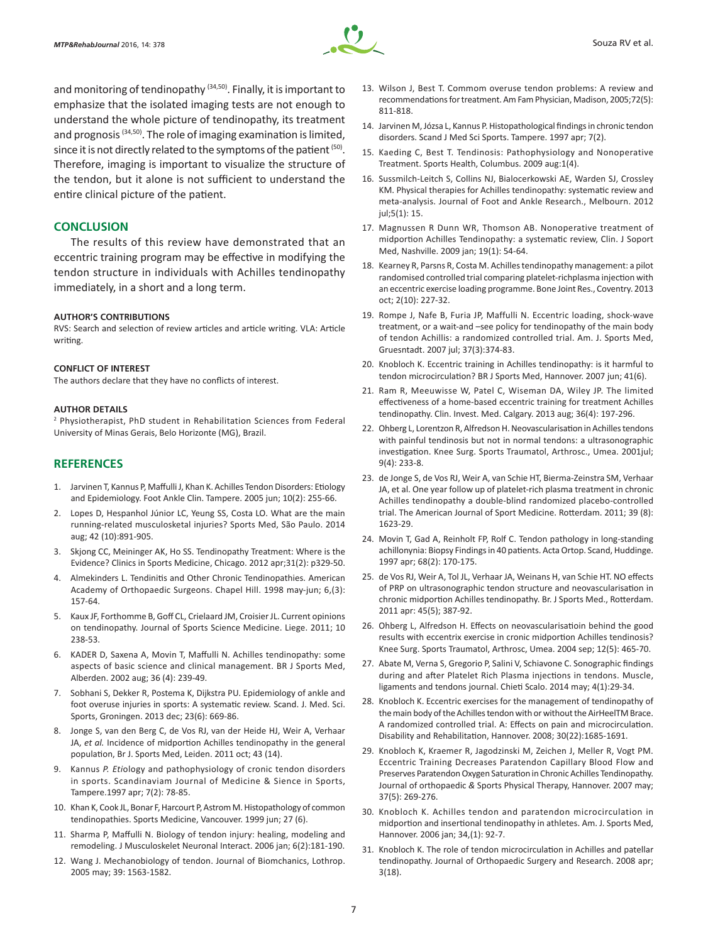

and monitoring of tendinopathy  $(34,50)$ . Finally, it is important to emphasize that the isolated imaging tests are not enough to understand the whole picture of tendinopathy, its treatment and prognosis (34,50). The role of imaging examination is limited, since it is not directly related to the symptoms of the patient (50). Therefore, imaging is important to visualize the structure of the tendon, but it alone is not sufficient to understand the entire clinical picture of the patient.

## **CONCLUSION**

The results of this review have demonstrated that an eccentric training program may be effective in modifying the tendon structure in individuals with Achilles tendinopathy immediately, in a short and a long term.

#### **AUTHOR'S CONTRIBUTIONS**

RVS: Search and selection of review articles and article writing. VLA: Article writing.

#### **CONFLICT OF INTEREST**

The authors declare that they have no conflicts of interest.

#### **AUTHOR DETAILS**

2 Physiotherapist, PhD student in Rehabilitation Sciences from Federal University of Minas Gerais, Belo Horizonte (MG), Brazil.

### **REFERENCES**

- 1. Jarvinen T, Kannus P, Maffulli J, Khan K. Achilles Tendon Disorders: Etiology and Epidemiology. Foot Ankle Clin. Tampere. 2005 jun; 10(2): 255-66.
- 2. Lopes D, Hespanhol Júnior LC, Yeung SS, Costa LO. What are the main running-related musculosketal injuries? Sports Med, São Paulo. 2014 aug; 42 (10):891-905.
- 3. Skjong CC, Meininger AK, Ho SS. Tendinopathy Treatment: Where is the Evidence? Clinics in Sports Medicine, Chicago. 2012 apr;31(2): p329-50.
- 4. Almekinders L. Tendinitis and Other Chronic Tendinopathies. American Academy of Orthopaedic Surgeons. Chapel Hill. 1998 may-jun; 6,(3): 157-64.
- 5. Kaux JF, Forthomme B, Goff CL, Crielaard JM, Croisier JL. Current opinions on tendinopathy. Journal of Sports Science Medicine. Liege. 2011; 10 238-53.
- 6. KADER D, Saxena A, Movin T, Maffulli N. Achilles tendinopathy: some aspects of basic science and clinical management. BR J Sports Med, Alberden. 2002 aug; 36 (4): 239-49.
- 7. Sobhani S, Dekker R, Postema K, Dijkstra PU. Epidemiology of ankle and foot overuse injuries in sports: A systematic review. Scand. J. Med. Sci. Sports, Groningen. 2013 dec; 23(6): 669-86.
- 8. Jonge S, van den Berg C, de Vos RJ, van der Heide HJ, Weir A, Verhaar JA, *et al.* Incidence of midportion Achilles tendinopathy in the general population, Br J. Sports Med, Leiden. 2011 oct; 43 (14).
- 9. Kannus *P. Eti*ology and pathophysiology of cronic tendon disorders in sports. Scandinaviam Journal of Medicine & Sience in Sports, Tampere.1997 apr; 7(2): 78-85.
- 10. Khan K, Cook JL, Bonar F, Harcourt P, Astrom M. Histopathology of common tendinopathies. Sports Medicine, Vancouver. 1999 jun; 27 (6).
- 11. Sharma P, Maffulli N. Biology of tendon injury: healing, modeling and remodeling. J Musculoskelet Neuronal Interact. 2006 jan; 6(2):181-190.
- 12. Wang J. Mechanobiology of tendon. Journal of Biomchanics, Lothrop. 2005 may; 39: 1563-1582.
- 13. Wilson J, Best T. Commom overuse tendon problems: A review and recommendations for treatment. Am Fam Physician, Madison, 2005;72(5): 811-818.
- 14. Jarvinen M, Józsa L, Kannus P. Histopathological findings in chronic tendon disorders. Scand J Med Sci Sports. Tampere. 1997 apr; 7(2).
- 15. Kaeding C, Best T. Tendinosis: Pathophysiology and Nonoperative Treatment. Sports Health, Columbus. 2009 aug:1(4).
- 16. Sussmilch-Leitch S, Collins NJ, Bialocerkowski AE, Warden SJ, Crossley KM. Physical therapies for Achilles tendinopathy: systematic review and meta-analysis. Journal of Foot and Ankle Research., Melbourn. 2012 jul;5(1): 15.
- 17. Magnussen R Dunn WR, Thomson AB. Nonoperative treatment of midportion Achilles Tendinopathy: a systematic review, Clin. J Soport Med, Nashville. 2009 jan; 19(1): 54-64.
- 18. Kearney R, Parsns R, Costa M. Achilles tendinopathy management: a pilot randomised controlled trial comparing platelet-richplasma injection with an eccentric exercise loading programme. Bone Joint Res., Coventry. 2013 oct; 2(10): 227-32.
- 19. Rompe J, Nafe B, Furia JP, Maffulli N. Eccentric loading, shock-wave treatment, or a wait-and –see policy for tendinopathy of the main body of tendon Achillis: a randomized controlled trial. Am. J. Sports Med, Gruesntadt. 2007 jul; 37(3):374-83.
- 20. Knobloch K. Eccentric training in Achilles tendinopathy: is it harmful to tendon microcirculation? BR J Sports Med, Hannover. 2007 jun; 41(6).
- 21. Ram R, Meeuwisse W, Patel C, Wiseman DA, Wiley JP. The limited effectiveness of a home-based eccentric training for treatment Achilles tendinopathy. Clin. Invest. Med. Calgary. 2013 aug; 36(4): 197-296.
- 22. Ohberg L, Lorentzon R, Alfredson H. Neovascularisation in Achilles tendons with painful tendinosis but not in normal tendons: a ultrasonographic investigation. Knee Surg. Sports Traumatol, Arthrosc., Umea. 2001jul; 9(4): 233-8.
- 23. de Jonge S, de Vos RJ, Weir A, van Schie HT, Bierma-Zeinstra SM, Verhaar JA, et al. One year follow up of platelet-rich plasma treatment in chronic Achilles tendinopathy a double-blind randomized placebo-controlled trial. The American Journal of Sport Medicine. Rotterdam. 2011; 39 (8): 1623-29.
- 24. Movin T, Gad A, Reinholt FP, Rolf C. Tendon pathology in long-standing achillonynia: Biopsy Findings in 40 patients. Acta Ortop. Scand, Huddinge. 1997 apr; 68(2): 170-175.
- 25. de Vos RJ, Weir A, Tol JL, Verhaar JA, Weinans H, van Schie HT. NO effects of PRP on ultrasonographic tendon structure and neovascularisation in chronic midportion Achilles tendinopathy. Br. J Sports Med., Rotterdam. 2011 apr: 45(5); 387-92.
- 26. Ohberg L, Alfredson H. Effects on neovascularisatioin behind the good results with eccentrix exercise in cronic midportion Achilles tendinosis? Knee Surg. Sports Traumatol, Arthrosc, Umea. 2004 sep; 12(5): 465-70.
- 27. Abate M, Verna S, Gregorio P, Salini V, Schiavone C. Sonographic findings during and after Platelet Rich Plasma injections in tendons. Muscle, ligaments and tendons journal. Chieti Scalo. 2014 may; 4(1):29-34.
- 28. Knobloch K. Eccentric exercises for the management of tendinopathy of the main body of the Achilles tendon with or without the AirHeelTM Brace. A randomized controlled trial. A: Effects on pain and microcirculation. Disability and Rehabilitation, Hannover. 2008; 30(22):1685-1691.
- 29. Knobloch K, Kraemer R, Jagodzinski M, Zeichen J, Meller R, Vogt PM. Eccentric Training Decreases Paratendon Capillary Blood Flow and Preserves Paratendon Oxygen Saturation in Chronic Achilles Tendinopathy. Journal of orthopaedic *&* Sports Physical Therapy, Hannover. 2007 may; 37(5): 269-276.
- 30. Knobloch K. Achilles tendon and paratendon microcirculation in midportion and insertional tendinopathy in athletes. Am. J. Sports Med, Hannover. 2006 jan; 34,(1): 92-7.
- 31. Knobloch K. The role of tendon microcirculation in Achilles and patellar tendinopathy. Journal of Orthopaedic Surgery and Research. 2008 apr; 3(18).